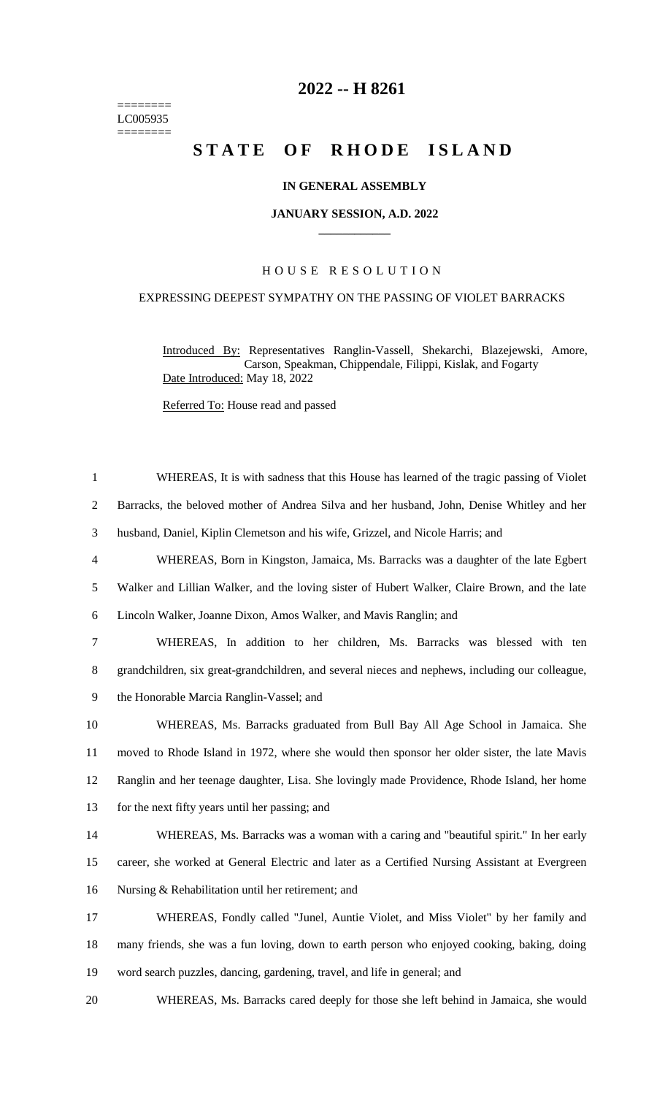======== LC005935  $=$ 

# **-- H 8261**

# **STATE OF RHODE ISLAND**

## **IN GENERAL ASSEMBLY**

#### **JANUARY SESSION, A.D. 2022 \_\_\_\_\_\_\_\_\_\_\_\_**

# H O U S E R E S O L U T I O N

## EXPRESSING DEEPEST SYMPATHY ON THE PASSING OF VIOLET BARRACKS

Introduced By: Representatives Ranglin-Vassell, Shekarchi, Blazejewski, Amore, Carson, Speakman, Chippendale, Filippi, Kislak, and Fogarty Date Introduced: May 18, 2022

Referred To: House read and passed

| 1              | WHEREAS, It is with sadness that this House has learned of the tragic passing of Violet          |
|----------------|--------------------------------------------------------------------------------------------------|
| $\overline{2}$ | Barracks, the beloved mother of Andrea Silva and her husband, John, Denise Whitley and her       |
| 3              | husband, Daniel, Kiplin Clemetson and his wife, Grizzel, and Nicole Harris; and                  |
| $\overline{4}$ | WHEREAS, Born in Kingston, Jamaica, Ms. Barracks was a daughter of the late Egbert               |
| 5              | Walker and Lillian Walker, and the loving sister of Hubert Walker, Claire Brown, and the late    |
| 6              | Lincoln Walker, Joanne Dixon, Amos Walker, and Mavis Ranglin; and                                |
| $\tau$         | WHEREAS, In addition to her children, Ms. Barracks was blessed with ten                          |
| $8\,$          | grandchildren, six great-grandchildren, and several nieces and nephews, including our colleague, |
| 9              | the Honorable Marcia Ranglin-Vassel; and                                                         |
| 10             | WHEREAS, Ms. Barracks graduated from Bull Bay All Age School in Jamaica. She                     |
| 11             | moved to Rhode Island in 1972, where she would then sponsor her older sister, the late Mavis     |
| 12             | Ranglin and her teenage daughter, Lisa. She lovingly made Providence, Rhode Island, her home     |
| 13             | for the next fifty years until her passing; and                                                  |
| 14             | WHEREAS, Ms. Barracks was a woman with a caring and "beautiful spirit." In her early             |
| 15             | career, she worked at General Electric and later as a Certified Nursing Assistant at Evergreen   |
| 16             | Nursing & Rehabilitation until her retirement; and                                               |
| 17             | WHEREAS, Fondly called "Junel, Auntie Violet, and Miss Violet" by her family and                 |
| 18             | many friends, she was a fun loving, down to earth person who enjoyed cooking, baking, doing      |
| 19             | word search puzzles, dancing, gardening, travel, and life in general; and                        |
| 20             | WHEREAS, Ms. Barracks cared deeply for those she left behind in Jamaica, she would               |